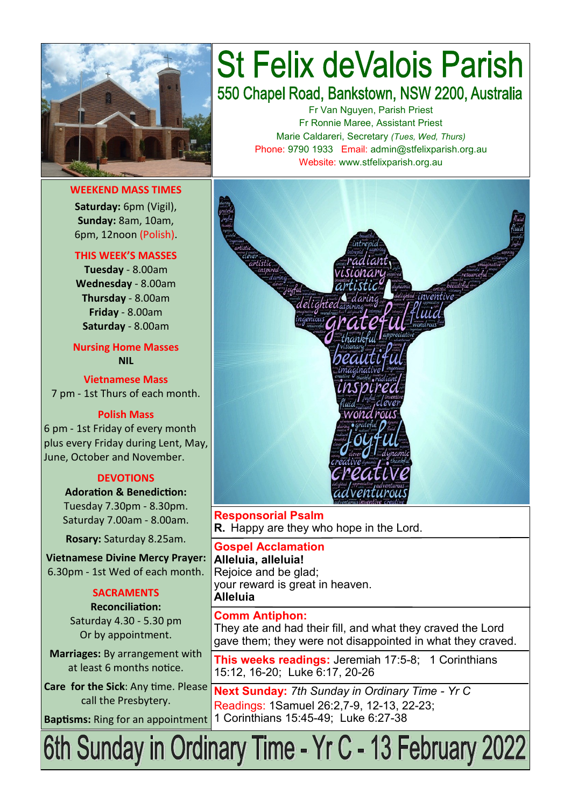

**WEEKEND MASS TIMES**

**Saturday:** 6pm (Vigil), **Sunday:** 8am, 10am, 6pm, 12noon (Polish).

#### **THIS WEEK'S MASSES**

**Tuesday** - 8.00am **Wednesday** - 8.00am **Thursday** - 8.00am **Friday** - 8.00am **Saturday** - 8.00am

**Nursing Home Masses NIL**

**Vietnamese Mass** 7 pm - 1st Thurs of each month.

#### **Polish Mass**

6 pm - 1st Friday of every month plus every Friday during Lent, May, June, October and November.

#### **DEVOTIONS**

**Adoration & Benediction:**  Tuesday 7.30pm - 8.30pm. Saturday 7.00am - 8.00am.

**Rosary:** Saturday 8.25am.

**Vietnamese Divine Mercy Prayer:** 6.30pm - 1st Wed of each month.

#### **SACRAMENTS**

**Reconciliation:**  Saturday 4.30 - 5.30 pm Or by appointment.

**Marriages:** By arrangement with at least 6 months notice.

**Care for the Sick**: Any time. Please call the Presbytery.

## **St Felix deValois Parish** 550 Chapel Road, Bankstown, NSW 2200, Australia

Fr Van Nguyen, Parish Priest Fr Ronnie Maree, Assistant Priest Marie Caldareri, Secretary *(Tues, Wed, Thurs)* Phone: 9790 1933 Email: admin@stfelixparish.org.au Website: www.stfelixparish.org.au



**Responsorial Psalm R.** Happy are they who hope in the Lord.

**Gospel Acclamation Alleluia, alleluia!** Rejoice and be glad; your reward is great in heaven. **Alleluia**

**Comm Antiphon:**  They ate and had their fill, and what they craved the Lord gave them; they were not disappointed in what they craved.

**This weeks readings:** Jeremiah 17:5-8; 1 Corinthians 15:12, 16-20; Luke 6:17, 20-26

**Next Sunday:** *7th Sunday in Ordinary Time - Yr C* Readings: 1Samuel 26:2,7-9, 12-13, 22-23; **Baptisms:** Ring for an appointment 1 Corinthians 15:45-49; Luke 6:27-38

# 6th Sunday in Ordinary Time - Yr C - 13 February 2022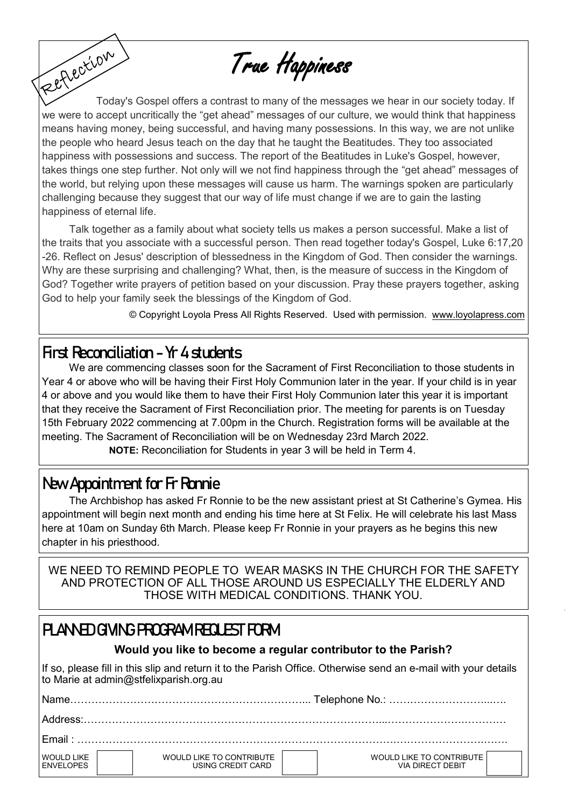True Happiness

Fettection Today's Gospel offers a contrast to many of the messages we hear in our society today. If we were to accept uncritically the "get ahead" messages of our culture, we would think that happiness means having money, being successful, and having many possessions. In this way, we are not unlike the people who heard Jesus teach on the day that he taught the Beatitudes. They too associated happiness with possessions and success. The report of the Beatitudes in Luke's Gospel, however, takes things one step further. Not only will we not find happiness through the "get ahead" messages of the world, but relying upon these messages will cause us harm. The warnings spoken are particularly challenging because they suggest that our way of life must change if we are to gain the lasting happiness of eternal life.

Talk together as a family about what society tells us makes a person successful. Make a list of the traits that you associate with a successful person. Then read together today's Gospel, Luke 6:17,20 -26. Reflect on Jesus' description of blessedness in the Kingdom of God. Then consider the warnings. Why are these surprising and challenging? What, then, is the measure of success in the Kingdom of God? Together write prayers of petition based on your discussion. Pray these prayers together, asking God to help your family seek the blessings of the Kingdom of God.

© Copyright Loyola Press All Rights Reserved. Used with permission. [www.loyolapress.com](http://www.loyolapress.com)

## **First Reconciliation - Yr 4 students**

We are commencing classes soon for the Sacrament of First Reconciliation to those students in Year 4 or above who will be having their First Holy Communion later in the year. If your child is in year 4 or above and you would like them to have their First Holy Communion later this year it is important that they receive the Sacrament of First Reconciliation prior. The meeting for parents is on Tuesday 15th February 2022 commencing at 7.00pm in the Church. Registration forms will be available at the meeting. The Sacrament of Reconciliation will be on Wednesday 23rd March 2022.

 **NOTE:** Reconciliation for Students in year 3 will be held in Term 4.

## **New Appointment for Fr Ronnie**

The Archbishop has asked Fr Ronnie to be the new assistant priest at St Catherine's Gymea. His appointment will begin next month and ending his time here at St Felix. He will celebrate his last Mass here at 10am on Sunday 6th March. Please keep Fr Ronnie in your prayers as he begins this new chapter in his priesthood.

WE NEED TO REMIND PEOPLE TO WEAR MASKS IN THE CHURCH FOR THE SAFETY AND PROTECTION OF ALL THOSE AROUND US ESPECIALLY THE ELDERLY AND THOSE WITH MEDICAL CONDITIONS. THANK YOU.

## **PLANNED GIVING PROGRAM REQUEST FORM**

### **Would you like to become a regular contributor to the Parish?**

If so, please fill in this slip and return it to the Parish Office. Otherwise send an e-mail with your details to Marie at admin@stfelixparish.org.au

| Name.                                 |                                                      |                                              |  |  |  |
|---------------------------------------|------------------------------------------------------|----------------------------------------------|--|--|--|
|                                       |                                                      |                                              |  |  |  |
| ∣ Fmail <sup>-</sup>                  |                                                      |                                              |  |  |  |
| <b>WOULD LIKE</b><br><b>FNVELOPES</b> | <b>WOULD LIKE TO CONTRIBUTE</b><br>USING CREDIT CARD | WOULD LIKE TO CONTRIBUTE<br>VIA DIRECT DEBIT |  |  |  |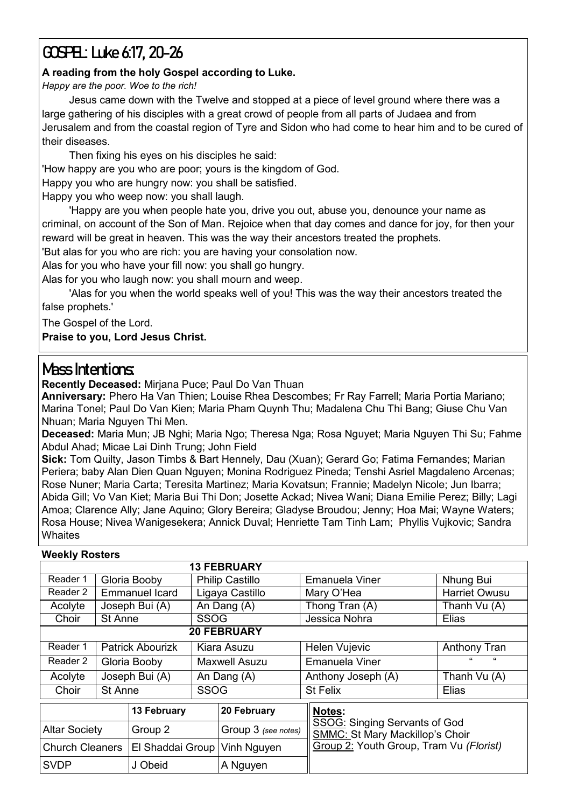## **GOSPEL: Luke 6:17, 20-26**

#### **A reading from the holy Gospel according to Luke.**

*Happy are the poor. Woe to the rich!*

Jesus came down with the Twelve and stopped at a piece of level ground where there was a large gathering of his disciples with a great crowd of people from all parts of Judaea and from Jerusalem and from the coastal region of Tyre and Sidon who had come to hear him and to be cured of their diseases.

Then fixing his eyes on his disciples he said: 'How happy are you who are poor; yours is the kingdom of God. Happy you who are hungry now: you shall be satisfied. Happy you who weep now: you shall laugh.

'Happy are you when people hate you, drive you out, abuse you, denounce your name as criminal, on account of the Son of Man. Rejoice when that day comes and dance for joy, for then your reward will be great in heaven. This was the way their ancestors treated the prophets.

'But alas for you who are rich: you are having your consolation now.

Alas for you who have your fill now: you shall go hungry.

Alas for you who laugh now: you shall mourn and weep.

'Alas for you when the world speaks well of you! This was the way their ancestors treated the false prophets.'

The Gospel of the Lord.

**Praise to you, Lord Jesus Christ.**

## **Mass Intentions:**

**Recently Deceased:** Mirjana Puce; Paul Do Van Thuan

**Anniversary:** Phero Ha Van Thien; Louise Rhea Descombes; Fr Ray Farrell; Maria Portia Mariano; Marina Tonel; Paul Do Van Kien; Maria Pham Quynh Thu; Madalena Chu Thi Bang; Giuse Chu Van Nhuan; Maria Nguyen Thi Men.

**Deceased:** Maria Mun; JB Nghi; Maria Ngo; Theresa Nga; Rosa Nguyet; Maria Nguyen Thi Su; Fahme Abdul Ahad; Micae Lai Dinh Trung; John Field

**Sick:** Tom Quilty, Jason Timbs & Bart Hennely, Dau (Xuan); Gerard Go; Fatima Fernandes; Marian Periera; baby Alan Dien Quan Nguyen; Monina Rodriguez Pineda; Tenshi Asriel Magdaleno Arcenas; Rose Nuner; Maria Carta; Teresita Martinez; Maria Kovatsun; Frannie; Madelyn Nicole; Jun Ibarra; Abida Gill; Vo Van Kiet; Maria Bui Thi Don; Josette Ackad; Nivea Wani; Diana Emilie Perez; Billy; Lagi Amoa; Clarence Ally; Jane Aquino; Glory Bereira; Gladyse Broudou; Jenny; Hoa Mai; Wayne Waters; Rosa House; Nivea Wanigesekera; Annick Duval; Henriette Tam Tinh Lam; Phyllis Vujkovic; Sandra **Whaites** 

#### **Weekly Rosters**

|                        |                |                         | <b>13 FEBRUARY</b>     |                     |                                                                                |                      |  |  |  |  |  |
|------------------------|----------------|-------------------------|------------------------|---------------------|--------------------------------------------------------------------------------|----------------------|--|--|--|--|--|
| Reader 1               |                | Gloria Booby            | <b>Philip Castillo</b> |                     | Emanuela Viner                                                                 | Nhung Bui            |  |  |  |  |  |
| Reader 2               |                | <b>Emmanuel Icard</b>   | Ligaya Castillo        |                     | Mary O'Hea                                                                     | <b>Harriet Owusu</b> |  |  |  |  |  |
| Acolyte                |                | Joseph Bui (A)          | An Dang (A)            |                     | Thong Tran (A)                                                                 | Thanh Vu (A)         |  |  |  |  |  |
| Choir                  | St Anne        |                         | <b>SSOG</b>            |                     | Jessica Nohra                                                                  | Elias                |  |  |  |  |  |
| <b>20 FEBRUARY</b>     |                |                         |                        |                     |                                                                                |                      |  |  |  |  |  |
| Reader 1               |                | <b>Patrick Abourizk</b> | Kiara Asuzu            |                     | Helen Vujevic                                                                  | <b>Anthony Tran</b>  |  |  |  |  |  |
| Reader 2               | Gloria Booby   |                         | Maxwell Asuzu          |                     | <b>Emanuela Viner</b>                                                          |                      |  |  |  |  |  |
| Acolyte                | Joseph Bui (A) |                         | An Dang (A)            |                     | Anthony Joseph (A)                                                             | Thanh Vu (A)         |  |  |  |  |  |
| Choir                  | <b>St Anne</b> |                         | <b>SSOG</b>            |                     | <b>St Felix</b>                                                                | Elias                |  |  |  |  |  |
|                        |                | 13 February             |                        | 20 February         | Notes:                                                                         |                      |  |  |  |  |  |
| <b>Altar Society</b>   |                | Group 2                 |                        | Group 3 (see notes) | <b>SSOG: Singing Servants of God</b><br><b>SMMC: St Mary Mackillop's Choir</b> |                      |  |  |  |  |  |
| <b>Church Cleaners</b> |                | El Shaddai Group        |                        | Vinh Nguyen         | Group 2: Youth Group, Tram Vu (Florist)                                        |                      |  |  |  |  |  |
| <b>SVDP</b>            |                | J Obeid                 |                        | A Nguyen            |                                                                                |                      |  |  |  |  |  |